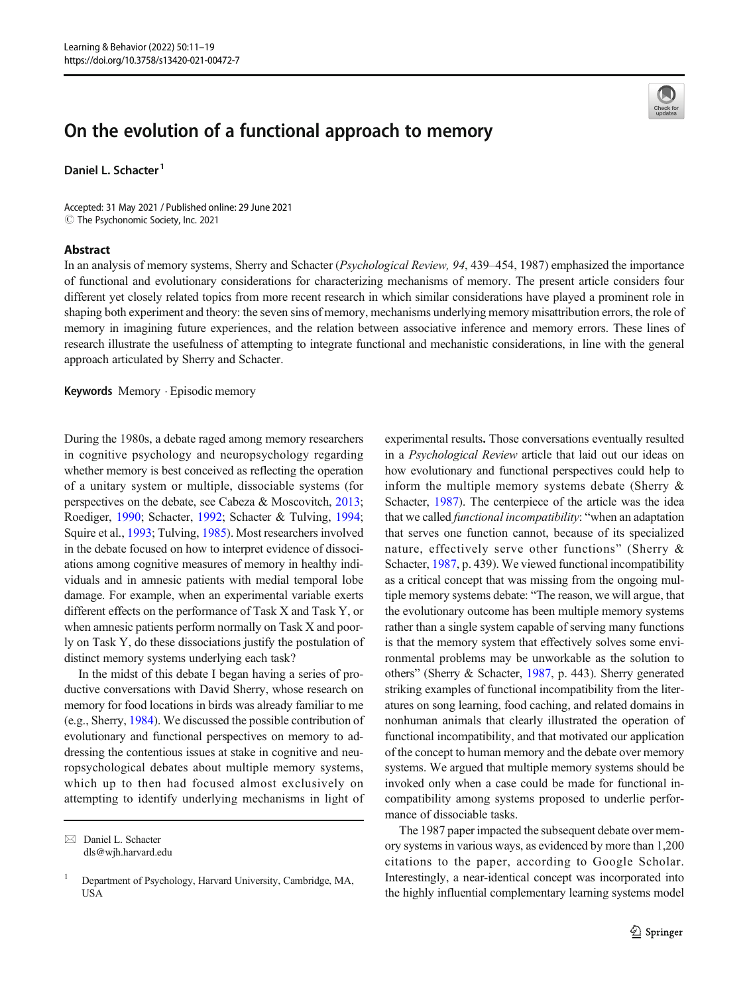# On the evolution of a functional approach to memory

Daniel L. Schacter<sup>1</sup>

Accepted: 31 May 2021 / Published online: 29 June 2021  $\odot$  The Psychonomic Society, Inc. 2021

#### Abstract



In an analysis of memory systems, Sherry and Schacter (Psychological Review, 94, 439–454, 1987) emphasized the importance of functional and evolutionary considerations for characterizing mechanisms of memory. The present article considers four different yet closely related topics from more recent research in which similar considerations have played a prominent role in shaping both experiment and theory: the seven sins of memory, mechanisms underlying memory misattribution errors, the role of memory in imagining future experiences, and the relation between associative inference and memory errors. These lines of research illustrate the usefulness of attempting to integrate functional and mechanistic considerations, in line with the general approach articulated by Sherry and Schacter.

Keywords Memory . Episodic memory

During the 1980s, a debate raged among memory researchers in cognitive psychology and neuropsychology regarding whether memory is best conceived as reflecting the operation of a unitary system or multiple, dissociable systems (for perspectives on the debate, see Cabeza & Moscovitch, [2013](#page-6-0); Roediger, [1990;](#page-7-0) Schacter, [1992;](#page-7-0) Schacter & Tulving, [1994](#page-8-0); Squire et al., [1993;](#page-8-0) Tulving, [1985](#page-8-0)). Most researchers involved in the debate focused on how to interpret evidence of dissociations among cognitive measures of memory in healthy individuals and in amnesic patients with medial temporal lobe damage. For example, when an experimental variable exerts different effects on the performance of Task X and Task Y, or when amnesic patients perform normally on Task X and poorly on Task Y, do these dissociations justify the postulation of distinct memory systems underlying each task?

In the midst of this debate I began having a series of productive conversations with David Sherry, whose research on memory for food locations in birds was already familiar to me (e.g., Sherry, [1984](#page-8-0)). We discussed the possible contribution of evolutionary and functional perspectives on memory to addressing the contentious issues at stake in cognitive and neuropsychological debates about multiple memory systems, which up to then had focused almost exclusively on attempting to identify underlying mechanisms in light of

 $\boxtimes$  Daniel L. Schacter [dls@wjh.harvard.edu](mailto:dls@wjh.harvard.edu) experimental results. Those conversations eventually resulted in a Psychological Review article that laid out our ideas on how evolutionary and functional perspectives could help to inform the multiple memory systems debate (Sherry & Schacter, [1987\)](#page-8-0). The centerpiece of the article was the idea that we called functional incompatibility: "when an adaptation that serves one function cannot, because of its specialized nature, effectively serve other functions" (Sherry & Schacter, [1987](#page-8-0), p. 439). We viewed functional incompatibility as a critical concept that was missing from the ongoing multiple memory systems debate: "The reason, we will argue, that the evolutionary outcome has been multiple memory systems rather than a single system capable of serving many functions is that the memory system that effectively solves some environmental problems may be unworkable as the solution to others" (Sherry & Schacter, [1987](#page-8-0), p. 443). Sherry generated striking examples of functional incompatibility from the literatures on song learning, food caching, and related domains in nonhuman animals that clearly illustrated the operation of functional incompatibility, and that motivated our application of the concept to human memory and the debate over memory systems. We argued that multiple memory systems should be invoked only when a case could be made for functional incompatibility among systems proposed to underlie performance of dissociable tasks.

The 1987 paper impacted the subsequent debate over memory systems in various ways, as evidenced by more than 1,200 citations to the paper, according to Google Scholar. Interestingly, a near-identical concept was incorporated into the highly influential complementary learning systems model

<sup>1</sup> Department of Psychology, Harvard University, Cambridge, MA, USA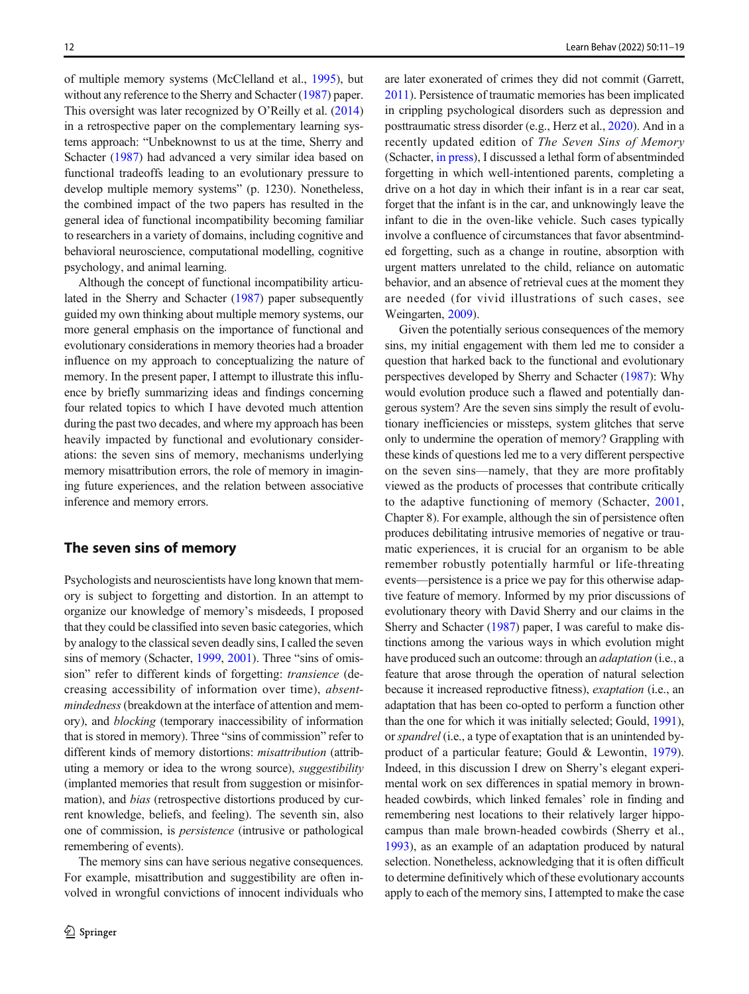of multiple memory systems (McClelland et al., [1995](#page-7-0)), but without any reference to the Sherry and Schacter ([1987](#page-8-0)) paper. This oversight was later recognized by O'Reilly et al. [\(2014\)](#page-7-0) in a retrospective paper on the complementary learning systems approach: "Unbeknownst to us at the time, Sherry and Schacter ([1987](#page-8-0)) had advanced a very similar idea based on functional tradeoffs leading to an evolutionary pressure to develop multiple memory systems" (p. 1230). Nonetheless, the combined impact of the two papers has resulted in the general idea of functional incompatibility becoming familiar to researchers in a variety of domains, including cognitive and behavioral neuroscience, computational modelling, cognitive psychology, and animal learning.

Although the concept of functional incompatibility articulated in the Sherry and Schacter [\(1987\)](#page-8-0) paper subsequently guided my own thinking about multiple memory systems, our more general emphasis on the importance of functional and evolutionary considerations in memory theories had a broader influence on my approach to conceptualizing the nature of memory. In the present paper, I attempt to illustrate this influence by briefly summarizing ideas and findings concerning four related topics to which I have devoted much attention during the past two decades, and where my approach has been heavily impacted by functional and evolutionary considerations: the seven sins of memory, mechanisms underlying memory misattribution errors, the role of memory in imagining future experiences, and the relation between associative inference and memory errors.

## The seven sins of memory

Psychologists and neuroscientists have long known that memory is subject to forgetting and distortion. In an attempt to organize our knowledge of memory's misdeeds, I proposed that they could be classified into seven basic categories, which by analogy to the classical seven deadly sins, I called the seven sins of memory (Schacter, [1999,](#page-7-0) [2001\)](#page-7-0). Three "sins of omission" refer to different kinds of forgetting: *transience* (decreasing accessibility of information over time), absentmindedness(breakdown at the interface of attention and memory), and blocking (temporary inaccessibility of information that is stored in memory). Three "sins of commission" refer to different kinds of memory distortions: misattribution (attributing a memory or idea to the wrong source), suggestibility (implanted memories that result from suggestion or misinformation), and bias (retrospective distortions produced by current knowledge, beliefs, and feeling). The seventh sin, also one of commission, is persistence (intrusive or pathological remembering of events).

The memory sins can have serious negative consequences. For example, misattribution and suggestibility are often involved in wrongful convictions of innocent individuals who are later exonerated of crimes they did not commit (Garrett, [2011\)](#page-7-0). Persistence of traumatic memories has been implicated in crippling psychological disorders such as depression and posttraumatic stress disorder (e.g., Herz et al., [2020](#page-7-0)). And in a recently updated edition of The Seven Sins of Memory (Schacter, [in press\)](#page-7-0), I discussed a lethal form of absentminded forgetting in which well-intentioned parents, completing a drive on a hot day in which their infant is in a rear car seat, forget that the infant is in the car, and unknowingly leave the infant to die in the oven-like vehicle. Such cases typically involve a confluence of circumstances that favor absentminded forgetting, such as a change in routine, absorption with urgent matters unrelated to the child, reliance on automatic behavior, and an absence of retrieval cues at the moment they are needed (for vivid illustrations of such cases, see Weingarten, [2009\)](#page-8-0).

Given the potentially serious consequences of the memory sins, my initial engagement with them led me to consider a question that harked back to the functional and evolutionary perspectives developed by Sherry and Schacter [\(1987](#page-8-0)): Why would evolution produce such a flawed and potentially dangerous system? Are the seven sins simply the result of evolutionary inefficiencies or missteps, system glitches that serve only to undermine the operation of memory? Grappling with these kinds of questions led me to a very different perspective on the seven sins—namely, that they are more profitably viewed as the products of processes that contribute critically to the adaptive functioning of memory (Schacter, [2001,](#page-7-0) Chapter 8). For example, although the sin of persistence often produces debilitating intrusive memories of negative or traumatic experiences, it is crucial for an organism to be able remember robustly potentially harmful or life-threating events—persistence is a price we pay for this otherwise adaptive feature of memory. Informed by my prior discussions of evolutionary theory with David Sherry and our claims in the Sherry and Schacter ([1987](#page-8-0)) paper, I was careful to make distinctions among the various ways in which evolution might have produced such an outcome: through an *adaptation* (i.e., a feature that arose through the operation of natural selection because it increased reproductive fitness), exaptation (i.e., an adaptation that has been co-opted to perform a function other than the one for which it was initially selected; Gould, [1991\)](#page-7-0), or spandrel (i.e., a type of exaptation that is an unintended byproduct of a particular feature; Gould & Lewontin, [1979\)](#page-7-0). Indeed, in this discussion I drew on Sherry's elegant experimental work on sex differences in spatial memory in brownheaded cowbirds, which linked females' role in finding and remembering nest locations to their relatively larger hippocampus than male brown-headed cowbirds (Sherry et al., [1993\)](#page-8-0), as an example of an adaptation produced by natural selection. Nonetheless, acknowledging that it is often difficult to determine definitively which of these evolutionary accounts apply to each of the memory sins, I attempted to make the case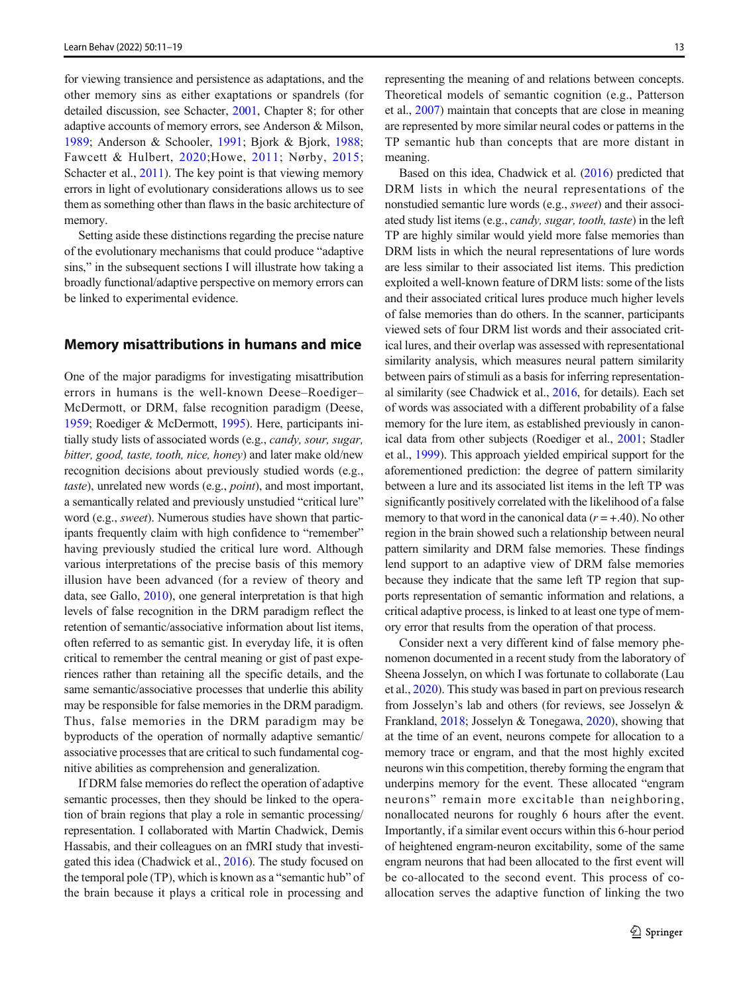for viewing transience and persistence as adaptations, and the other memory sins as either exaptations or spandrels (for detailed discussion, see Schacter, [2001,](#page-7-0) Chapter 8; for other adaptive accounts of memory errors, see Anderson & Milson, [1989](#page-6-0); Anderson & Schooler, [1991](#page-6-0); Bjork & Bjork, [1988](#page-6-0); Fawcett & Hulbert, [2020;](#page-7-0)Howe, [2011](#page-7-0); Nørby, [2015](#page-7-0); Schacter et al., [2011\)](#page-7-0). The key point is that viewing memory errors in light of evolutionary considerations allows us to see them as something other than flaws in the basic architecture of memory.

Setting aside these distinctions regarding the precise nature of the evolutionary mechanisms that could produce "adaptive sins," in the subsequent sections I will illustrate how taking a broadly functional/adaptive perspective on memory errors can be linked to experimental evidence.

## Memory misattributions in humans and mice

One of the major paradigms for investigating misattribution errors in humans is the well-known Deese–Roediger– McDermott, or DRM, false recognition paradigm (Deese, [1959;](#page-6-0) Roediger & McDermott, [1995](#page-7-0)). Here, participants initially study lists of associated words (e.g., candy, sour, sugar, bitter, good, taste, tooth, nice, honey) and later make old/new recognition decisions about previously studied words (e.g., taste), unrelated new words (e.g., point), and most important, a semantically related and previously unstudied "critical lure" word (e.g., sweet). Numerous studies have shown that participants frequently claim with high confidence to "remember" having previously studied the critical lure word. Although various interpretations of the precise basis of this memory illusion have been advanced (for a review of theory and data, see Gallo, [2010\)](#page-7-0), one general interpretation is that high levels of false recognition in the DRM paradigm reflect the retention of semantic/associative information about list items, often referred to as semantic gist. In everyday life, it is often critical to remember the central meaning or gist of past experiences rather than retaining all the specific details, and the same semantic/associative processes that underlie this ability may be responsible for false memories in the DRM paradigm. Thus, false memories in the DRM paradigm may be byproducts of the operation of normally adaptive semantic/ associative processes that are critical to such fundamental cognitive abilities as comprehension and generalization.

If DRM false memories do reflect the operation of adaptive semantic processes, then they should be linked to the operation of brain regions that play a role in semantic processing/ representation. I collaborated with Martin Chadwick, Demis Hassabis, and their colleagues on an fMRI study that investigated this idea (Chadwick et al., [2016\)](#page-6-0). The study focused on the temporal pole (TP), which is known as a "semantic hub" of the brain because it plays a critical role in processing and

representing the meaning of and relations between concepts. Theoretical models of semantic cognition (e.g., Patterson et al., [2007\)](#page-7-0) maintain that concepts that are close in meaning are represented by more similar neural codes or patterns in the TP semantic hub than concepts that are more distant in meaning.

Based on this idea, Chadwick et al. ([2016](#page-6-0)) predicted that DRM lists in which the neural representations of the nonstudied semantic lure words (e.g., sweet) and their associated study list items (e.g., candy, sugar, tooth, taste) in the left TP are highly similar would yield more false memories than DRM lists in which the neural representations of lure words are less similar to their associated list items. This prediction exploited a well-known feature of DRM lists: some of the lists and their associated critical lures produce much higher levels of false memories than do others. In the scanner, participants viewed sets of four DRM list words and their associated critical lures, and their overlap was assessed with representational similarity analysis, which measures neural pattern similarity between pairs of stimuli as a basis for inferring representational similarity (see Chadwick et al., [2016](#page-6-0), for details). Each set of words was associated with a different probability of a false memory for the lure item, as established previously in canonical data from other subjects (Roediger et al., [2001;](#page-7-0) Stadler et al., [1999\)](#page-8-0). This approach yielded empirical support for the aforementioned prediction: the degree of pattern similarity between a lure and its associated list items in the left TP was significantly positively correlated with the likelihood of a false memory to that word in the canonical data  $(r = +.40)$ . No other region in the brain showed such a relationship between neural pattern similarity and DRM false memories. These findings lend support to an adaptive view of DRM false memories because they indicate that the same left TP region that supports representation of semantic information and relations, a critical adaptive process, is linked to at least one type of memory error that results from the operation of that process.

Consider next a very different kind of false memory phenomenon documented in a recent study from the laboratory of Sheena Josselyn, on which I was fortunate to collaborate (Lau et al., [2020](#page-7-0)). This study was based in part on previous research from Josselyn's lab and others (for reviews, see Josselyn & Frankland, [2018;](#page-7-0) Josselyn & Tonegawa, [2020\)](#page-7-0), showing that at the time of an event, neurons compete for allocation to a memory trace or engram, and that the most highly excited neurons win this competition, thereby forming the engram that underpins memory for the event. These allocated "engram neurons" remain more excitable than neighboring, nonallocated neurons for roughly 6 hours after the event. Importantly, if a similar event occurs within this 6-hour period of heightened engram-neuron excitability, some of the same engram neurons that had been allocated to the first event will be co-allocated to the second event. This process of coallocation serves the adaptive function of linking the two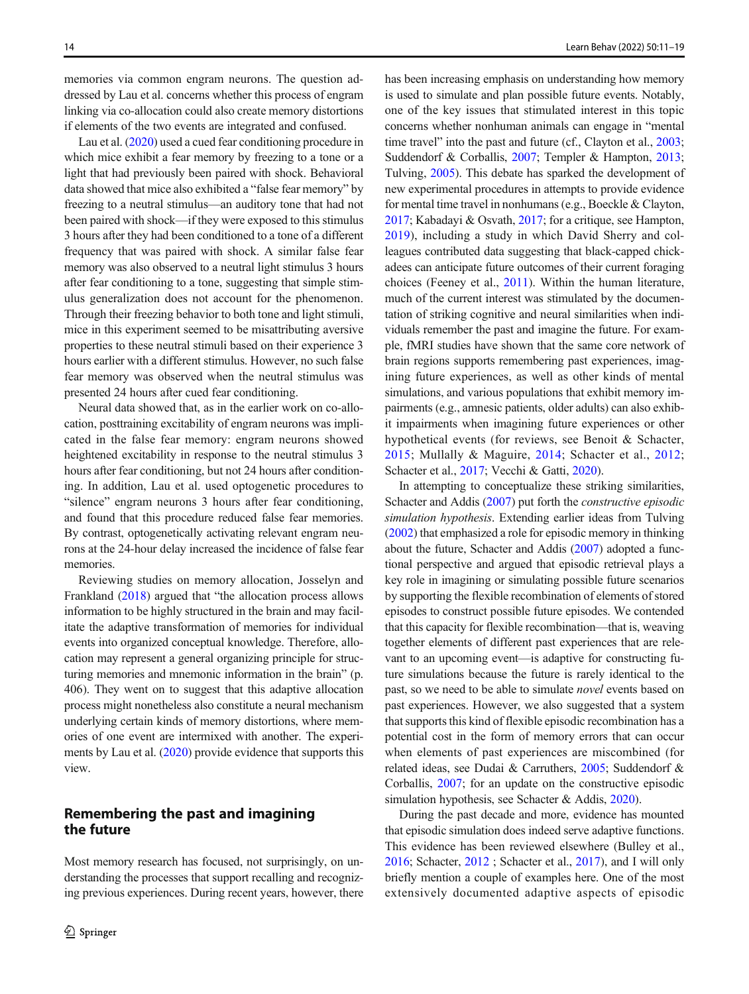memories via common engram neurons. The question addressed by Lau et al. concerns whether this process of engram linking via co-allocation could also create memory distortions if elements of the two events are integrated and confused.

Lau et al. ([2020](#page-7-0)) used a cued fear conditioning procedure in which mice exhibit a fear memory by freezing to a tone or a light that had previously been paired with shock. Behavioral data showed that mice also exhibited a "false fear memory" by freezing to a neutral stimulus—an auditory tone that had not been paired with shock—if they were exposed to this stimulus 3 hours after they had been conditioned to a tone of a different frequency that was paired with shock. A similar false fear memory was also observed to a neutral light stimulus 3 hours after fear conditioning to a tone, suggesting that simple stimulus generalization does not account for the phenomenon. Through their freezing behavior to both tone and light stimuli, mice in this experiment seemed to be misattributing aversive properties to these neutral stimuli based on their experience 3 hours earlier with a different stimulus. However, no such false fear memory was observed when the neutral stimulus was presented 24 hours after cued fear conditioning.

Neural data showed that, as in the earlier work on co-allocation, posttraining excitability of engram neurons was implicated in the false fear memory: engram neurons showed heightened excitability in response to the neutral stimulus 3 hours after fear conditioning, but not 24 hours after conditioning. In addition, Lau et al. used optogenetic procedures to "silence" engram neurons 3 hours after fear conditioning, and found that this procedure reduced false fear memories. By contrast, optogenetically activating relevant engram neurons at the 24-hour delay increased the incidence of false fear memories.

Reviewing studies on memory allocation, Josselyn and Frankland ([2018](#page-7-0)) argued that "the allocation process allows information to be highly structured in the brain and may facilitate the adaptive transformation of memories for individual events into organized conceptual knowledge. Therefore, allocation may represent a general organizing principle for structuring memories and mnemonic information in the brain" (p. 406). They went on to suggest that this adaptive allocation process might nonetheless also constitute a neural mechanism underlying certain kinds of memory distortions, where memories of one event are intermixed with another. The experiments by Lau et al. ([2020](#page-7-0)) provide evidence that supports this view.

# Remembering the past and imagining the future

Most memory research has focused, not surprisingly, on understanding the processes that support recalling and recognizing previous experiences. During recent years, however, there has been increasing emphasis on understanding how memory is used to simulate and plan possible future events. Notably, one of the key issues that stimulated interest in this topic concerns whether nonhuman animals can engage in "mental time travel" into the past and future (cf., Clayton et al., [2003;](#page-6-0) Suddendorf & Corballis, [2007;](#page-8-0) Templer & Hampton, [2013;](#page-8-0) Tulving, [2005\)](#page-8-0). This debate has sparked the development of new experimental procedures in attempts to provide evidence for mental time travel in nonhumans (e.g., Boeckle & Clayton, [2017;](#page-6-0) Kabadayi & Osvath, [2017;](#page-7-0) for a critique, see Hampton, [2019](#page-7-0)), including a study in which David Sherry and colleagues contributed data suggesting that black-capped chickadees can anticipate future outcomes of their current foraging choices (Feeney et al., [2011](#page-7-0)). Within the human literature, much of the current interest was stimulated by the documentation of striking cognitive and neural similarities when individuals remember the past and imagine the future. For example, fMRI studies have shown that the same core network of brain regions supports remembering past experiences, imagining future experiences, as well as other kinds of mental simulations, and various populations that exhibit memory impairments (e.g., amnesic patients, older adults) can also exhibit impairments when imagining future experiences or other hypothetical events (for reviews, see Benoit & Schacter, [2015;](#page-6-0) Mullally & Maguire, [2014;](#page-7-0) Schacter et al., [2012;](#page-7-0) Schacter et al., [2017](#page-7-0); Vecchi & Gatti, [2020\)](#page-8-0).

In attempting to conceptualize these striking similarities, Schacter and Addis [\(2007\)](#page-7-0) put forth the *constructive episodic* simulation hypothesis. Extending earlier ideas from Tulving [\(2002\)](#page-8-0) that emphasized a role for episodic memory in thinking about the future, Schacter and Addis ([2007](#page-7-0)) adopted a functional perspective and argued that episodic retrieval plays a key role in imagining or simulating possible future scenarios by supporting the flexible recombination of elements of stored episodes to construct possible future episodes. We contended that this capacity for flexible recombination—that is, weaving together elements of different past experiences that are relevant to an upcoming event—is adaptive for constructing future simulations because the future is rarely identical to the past, so we need to be able to simulate novel events based on past experiences. However, we also suggested that a system that supports this kind of flexible episodic recombination has a potential cost in the form of memory errors that can occur when elements of past experiences are miscombined (for related ideas, see Dudai & Carruthers, [2005;](#page-7-0) Suddendorf & Corballis, [2007;](#page-8-0) for an update on the constructive episodic simulation hypothesis, see Schacter & Addis, [2020\)](#page-7-0).

During the past decade and more, evidence has mounted that episodic simulation does indeed serve adaptive functions. This evidence has been reviewed elsewhere (Bulley et al., [2016;](#page-6-0) Schacter, [2012](#page-7-0) ; Schacter et al., [2017\)](#page-7-0), and I will only briefly mention a couple of examples here. One of the most extensively documented adaptive aspects of episodic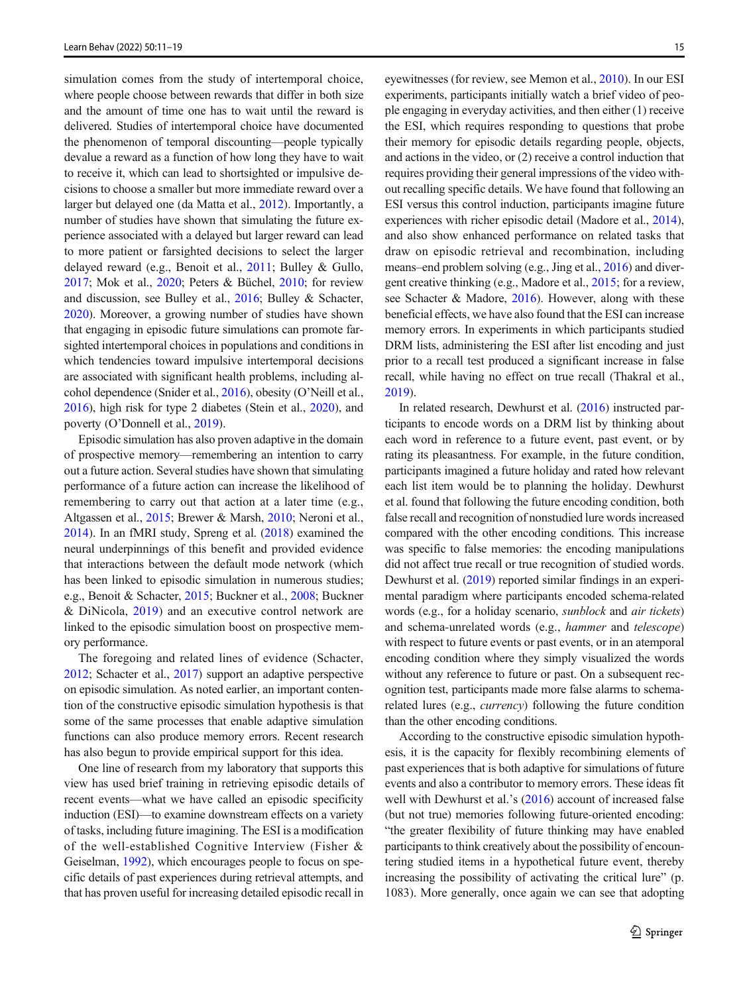simulation comes from the study of intertemporal choice. where people choose between rewards that differ in both size and the amount of time one has to wait until the reward is delivered. Studies of intertemporal choice have documented the phenomenon of temporal discounting—people typically devalue a reward as a function of how long they have to wait to receive it, which can lead to shortsighted or impulsive decisions to choose a smaller but more immediate reward over a larger but delayed one (da Matta et al., [2012\)](#page-6-0). Importantly, a number of studies have shown that simulating the future experience associated with a delayed but larger reward can lead to more patient or farsighted decisions to select the larger delayed reward (e.g., Benoit et al., [2011](#page-6-0); Bulley & Gullo, [2017;](#page-6-0) Mok et al., [2020](#page-7-0); Peters & Büchel, [2010;](#page-7-0) for review and discussion, see Bulley et al., [2016](#page-6-0); Bulley & Schacter, [2020\)](#page-6-0). Moreover, a growing number of studies have shown that engaging in episodic future simulations can promote farsighted intertemporal choices in populations and conditions in which tendencies toward impulsive intertemporal decisions are associated with significant health problems, including alcohol dependence (Snider et al., [2016\)](#page-8-0), obesity (O'Neill et al., [2016\)](#page-7-0), high risk for type 2 diabetes (Stein et al., [2020](#page-8-0)), and poverty (O'Donnell et al., [2019\)](#page-7-0).

Episodic simulation has also proven adaptive in the domain of prospective memory—remembering an intention to carry out a future action. Several studies have shown that simulating performance of a future action can increase the likelihood of remembering to carry out that action at a later time (e.g., Altgassen et al., [2015;](#page-6-0) Brewer & Marsh, [2010](#page-6-0); Neroni et al., [2014\)](#page-7-0). In an fMRI study, Spreng et al. ([2018](#page-8-0)) examined the neural underpinnings of this benefit and provided evidence that interactions between the default mode network (which has been linked to episodic simulation in numerous studies; e.g., Benoit & Schacter, [2015;](#page-6-0) Buckner et al., [2008;](#page-6-0) Buckner & DiNicola, [2019](#page-6-0)) and an executive control network are linked to the episodic simulation boost on prospective memory performance.

The foregoing and related lines of evidence (Schacter, [2012;](#page-7-0) Schacter et al., [2017\)](#page-7-0) support an adaptive perspective on episodic simulation. As noted earlier, an important contention of the constructive episodic simulation hypothesis is that some of the same processes that enable adaptive simulation functions can also produce memory errors. Recent research has also begun to provide empirical support for this idea.

One line of research from my laboratory that supports this view has used brief training in retrieving episodic details of recent events—what we have called an episodic specificity induction (ESI)—to examine downstream effects on a variety of tasks, including future imagining. The ESI is a modification of the well-established Cognitive Interview (Fisher & Geiselman, [1992](#page-7-0)), which encourages people to focus on specific details of past experiences during retrieval attempts, and that has proven useful for increasing detailed episodic recall in eyewitnesses (for review, see Memon et al., [2010](#page-7-0)). In our ESI experiments, participants initially watch a brief video of people engaging in everyday activities, and then either (1) receive the ESI, which requires responding to questions that probe their memory for episodic details regarding people, objects, and actions in the video, or (2) receive a control induction that requires providing their general impressions of the video without recalling specific details. We have found that following an ESI versus this control induction, participants imagine future experiences with richer episodic detail (Madore et al., [2014\)](#page-7-0), and also show enhanced performance on related tasks that draw on episodic retrieval and recombination, including means–end problem solving (e.g., Jing et al., [2016\)](#page-7-0) and divergent creative thinking (e.g., Madore et al., [2015](#page-7-0); for a review, see Schacter & Madore, [2016\)](#page-7-0). However, along with these beneficial effects, we have also found that the ESI can increase memory errors. In experiments in which participants studied DRM lists, administering the ESI after list encoding and just prior to a recall test produced a significant increase in false recall, while having no effect on true recall (Thakral et al., [2019\)](#page-8-0).

In related research, Dewhurst et al. ([2016](#page-6-0)) instructed participants to encode words on a DRM list by thinking about each word in reference to a future event, past event, or by rating its pleasantness. For example, in the future condition, participants imagined a future holiday and rated how relevant each list item would be to planning the holiday. Dewhurst et al. found that following the future encoding condition, both false recall and recognition of nonstudied lure words increased compared with the other encoding conditions. This increase was specific to false memories: the encoding manipulations did not affect true recall or true recognition of studied words. Dewhurst et al. [\(2019\)](#page-6-0) reported similar findings in an experimental paradigm where participants encoded schema-related words (e.g., for a holiday scenario, *sunblock* and *air tickets*) and schema-unrelated words (e.g., hammer and telescope) with respect to future events or past events, or in an atemporal encoding condition where they simply visualized the words without any reference to future or past. On a subsequent recognition test, participants made more false alarms to schemarelated lures (e.g., currency) following the future condition than the other encoding conditions.

According to the constructive episodic simulation hypothesis, it is the capacity for flexibly recombining elements of past experiences that is both adaptive for simulations of future events and also a contributor to memory errors. These ideas fit well with Dewhurst et al.'s ([2016](#page-6-0)) account of increased false (but not true) memories following future-oriented encoding: "the greater flexibility of future thinking may have enabled participants to think creatively about the possibility of encountering studied items in a hypothetical future event, thereby increasing the possibility of activating the critical lure" (p. 1083). More generally, once again we can see that adopting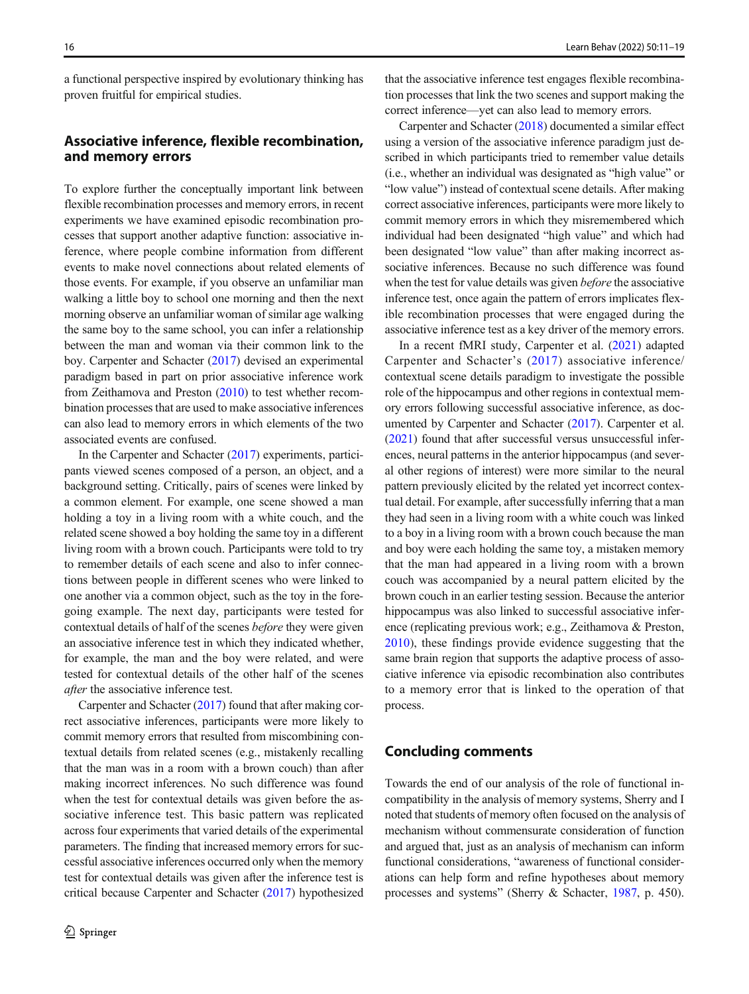a functional perspective inspired by evolutionary thinking has proven fruitful for empirical studies.

# Associative inference, flexible recombination, and memory errors

To explore further the conceptually important link between flexible recombination processes and memory errors, in recent experiments we have examined episodic recombination processes that support another adaptive function: associative inference, where people combine information from different events to make novel connections about related elements of those events. For example, if you observe an unfamiliar man walking a little boy to school one morning and then the next morning observe an unfamiliar woman of similar age walking the same boy to the same school, you can infer a relationship between the man and woman via their common link to the boy. Carpenter and Schacter [\(2017\)](#page-6-0) devised an experimental paradigm based in part on prior associative inference work from Zeithamova and Preston ([2010](#page-8-0)) to test whether recombination processes that are used to make associative inferences can also lead to memory errors in which elements of the two associated events are confused.

In the Carpenter and Schacter ([2017](#page-6-0)) experiments, participants viewed scenes composed of a person, an object, and a background setting. Critically, pairs of scenes were linked by a common element. For example, one scene showed a man holding a toy in a living room with a white couch, and the related scene showed a boy holding the same toy in a different living room with a brown couch. Participants were told to try to remember details of each scene and also to infer connections between people in different scenes who were linked to one another via a common object, such as the toy in the foregoing example. The next day, participants were tested for contextual details of half of the scenes before they were given an associative inference test in which they indicated whether, for example, the man and the boy were related, and were tested for contextual details of the other half of the scenes after the associative inference test.

Carpenter and Schacter [\(2017](#page-6-0)) found that after making correct associative inferences, participants were more likely to commit memory errors that resulted from miscombining contextual details from related scenes (e.g., mistakenly recalling that the man was in a room with a brown couch) than after making incorrect inferences. No such difference was found when the test for contextual details was given before the associative inference test. This basic pattern was replicated across four experiments that varied details of the experimental parameters. The finding that increased memory errors for successful associative inferences occurred only when the memory test for contextual details was given after the inference test is critical because Carpenter and Schacter [\(2017\)](#page-6-0) hypothesized that the associative inference test engages flexible recombination processes that link the two scenes and support making the correct inference—yet can also lead to memory errors.

Carpenter and Schacter [\(2018](#page-6-0)) documented a similar effect using a version of the associative inference paradigm just described in which participants tried to remember value details (i.e., whether an individual was designated as "high value" or "low value") instead of contextual scene details. After making correct associative inferences, participants were more likely to commit memory errors in which they misremembered which individual had been designated "high value" and which had been designated "low value" than after making incorrect associative inferences. Because no such difference was found when the test for value details was given before the associative inference test, once again the pattern of errors implicates flexible recombination processes that were engaged during the associative inference test as a key driver of the memory errors.

In a recent fMRI study, Carpenter et al. [\(2021\)](#page-6-0) adapted Carpenter and Schacter's ([2017\)](#page-6-0) associative inference/ contextual scene details paradigm to investigate the possible role of the hippocampus and other regions in contextual memory errors following successful associative inference, as documented by Carpenter and Schacter ([2017](#page-6-0)). Carpenter et al. [\(2021\)](#page-6-0) found that after successful versus unsuccessful inferences, neural patterns in the anterior hippocampus (and several other regions of interest) were more similar to the neural pattern previously elicited by the related yet incorrect contextual detail. For example, after successfully inferring that a man they had seen in a living room with a white couch was linked to a boy in a living room with a brown couch because the man and boy were each holding the same toy, a mistaken memory that the man had appeared in a living room with a brown couch was accompanied by a neural pattern elicited by the brown couch in an earlier testing session. Because the anterior hippocampus was also linked to successful associative inference (replicating previous work; e.g., Zeithamova & Preston, [2010\)](#page-8-0), these findings provide evidence suggesting that the same brain region that supports the adaptive process of associative inference via episodic recombination also contributes to a memory error that is linked to the operation of that process.

#### Concluding comments

Towards the end of our analysis of the role of functional incompatibility in the analysis of memory systems, Sherry and I noted that students of memory often focused on the analysis of mechanism without commensurate consideration of function and argued that, just as an analysis of mechanism can inform functional considerations, "awareness of functional considerations can help form and refine hypotheses about memory processes and systems" (Sherry & Schacter, [1987,](#page-8-0) p. 450).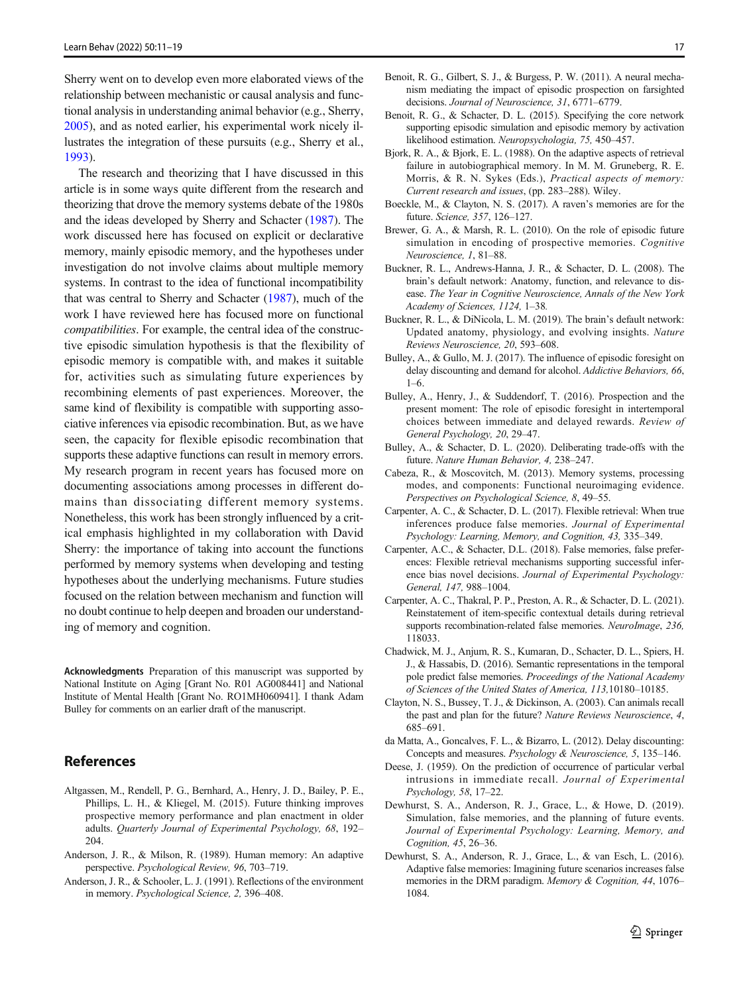<span id="page-6-0"></span>Sherry went on to develop even more elaborated views of the relationship between mechanistic or causal analysis and functional analysis in understanding animal behavior (e.g., Sherry, [2005\)](#page-8-0), and as noted earlier, his experimental work nicely illustrates the integration of these pursuits (e.g., Sherry et al., [1993\)](#page-8-0).

The research and theorizing that I have discussed in this article is in some ways quite different from the research and theorizing that drove the memory systems debate of the 1980s and the ideas developed by Sherry and Schacter ([1987](#page-8-0)). The work discussed here has focused on explicit or declarative memory, mainly episodic memory, and the hypotheses under investigation do not involve claims about multiple memory systems. In contrast to the idea of functional incompatibility that was central to Sherry and Schacter ([1987](#page-8-0)), much of the work I have reviewed here has focused more on functional compatibilities. For example, the central idea of the constructive episodic simulation hypothesis is that the flexibility of episodic memory is compatible with, and makes it suitable for, activities such as simulating future experiences by recombining elements of past experiences. Moreover, the same kind of flexibility is compatible with supporting associative inferences via episodic recombination. But, as we have seen, the capacity for flexible episodic recombination that supports these adaptive functions can result in memory errors. My research program in recent years has focused more on documenting associations among processes in different domains than dissociating different memory systems. Nonetheless, this work has been strongly influenced by a critical emphasis highlighted in my collaboration with David Sherry: the importance of taking into account the functions performed by memory systems when developing and testing hypotheses about the underlying mechanisms. Future studies focused on the relation between mechanism and function will no doubt continue to help deepen and broaden our understanding of memory and cognition.

Acknowledgments Preparation of this manuscript was supported by National Institute on Aging [Grant No. R01 AG008441] and National Institute of Mental Health [Grant No. RO1MH060941]. I thank Adam Bulley for comments on an earlier draft of the manuscript.

## References

- Altgassen, M., Rendell, P. G., Bernhard, A., Henry, J. D., Bailey, P. E., Phillips, L. H., & Kliegel, M. (2015). Future thinking improves prospective memory performance and plan enactment in older adults. Quarterly Journal of Experimental Psychology, 68, 192– 204.
- Anderson, J. R., & Milson, R. (1989). Human memory: An adaptive perspective. Psychological Review, 96, 703–719.
- Anderson, J. R., & Schooler, L. J. (1991). Reflections of the environment in memory. Psychological Science, 2, 396–408.
- Benoit, R. G., Gilbert, S. J., & Burgess, P. W. (2011). A neural mechanism mediating the impact of episodic prospection on farsighted decisions. Journal of Neuroscience, 31, 6771–6779.
- Benoit, R. G., & Schacter, D. L. (2015). Specifying the core network supporting episodic simulation and episodic memory by activation likelihood estimation. Neuropsychologia, 75, 450–457.
- Bjork, R. A., & Bjork, E. L. (1988). On the adaptive aspects of retrieval failure in autobiographical memory. In M. M. Gruneberg, R. E. Morris, & R. N. Sykes (Eds.), Practical aspects of memory: Current research and issues, (pp. 283–288). Wiley.
- Boeckle, M., & Clayton, N. S. (2017). A raven's memories are for the future. Science, 357, 126–127.
- Brewer, G. A., & Marsh, R. L. (2010). On the role of episodic future simulation in encoding of prospective memories. Cognitive Neuroscience, 1, 81–88.
- Buckner, R. L., Andrews-Hanna, J. R., & Schacter, D. L. (2008). The brain's default network: Anatomy, function, and relevance to disease. The Year in Cognitive Neuroscience, Annals of the New York Academy of Sciences, 1124, 1–38.
- Buckner, R. L., & DiNicola, L. M. (2019). The brain's default network: Updated anatomy, physiology, and evolving insights. Nature Reviews Neuroscience, 20, 593–608.
- Bulley, A., & Gullo, M. J. (2017). The influence of episodic foresight on delay discounting and demand for alcohol. Addictive Behaviors, 66, 1–6.
- Bulley, A., Henry, J., & Suddendorf, T. (2016). Prospection and the present moment: The role of episodic foresight in intertemporal choices between immediate and delayed rewards. Review of General Psychology, 20, 29–47.
- Bulley, A., & Schacter, D. L. (2020). Deliberating trade-offs with the future. Nature Human Behavior, 4, 238–247.
- Cabeza, R., & Moscovitch, M. (2013). Memory systems, processing modes, and components: Functional neuroimaging evidence. Perspectives on Psychological Science, 8, 49–55.
- Carpenter, A. C., & Schacter, D. L. (2017). Flexible retrieval: When true inferences produce false memories. Journal of Experimental Psychology: Learning, Memory, and Cognition, 43, 335–349.
- Carpenter, A.C., & Schacter, D.L. (2018). False memories, false preferences: Flexible retrieval mechanisms supporting successful inference bias novel decisions. Journal of Experimental Psychology: General, 147, 988–1004.
- Carpenter, A. C., Thakral, P. P., Preston, A. R., & Schacter, D. L. (2021). Reinstatement of item-specific contextual details during retrieval supports recombination-related false memories. NeuroImage, 236, 118033.
- Chadwick, M. J., Anjum, R. S., Kumaran, D., Schacter, D. L., Spiers, H. J., & Hassabis, D. (2016). Semantic representations in the temporal pole predict false memories. Proceedings of the National Academy of Sciences of the United States of America, 113,10180–10185.
- Clayton, N. S., Bussey, T. J., & Dickinson, A. (2003). Can animals recall the past and plan for the future? Nature Reviews Neuroscience, 4, 685–691.
- da Matta, A., Goncalves, F. L., & Bizarro, L. (2012). Delay discounting: Concepts and measures. Psychology & Neuroscience, 5, 135–146.
- Deese, J. (1959). On the prediction of occurrence of particular verbal intrusions in immediate recall. Journal of Experimental Psychology, 58, 17–22.
- Dewhurst, S. A., Anderson, R. J., Grace, L., & Howe, D. (2019). Simulation, false memories, and the planning of future events. Journal of Experimental Psychology: Learning, Memory, and Cognition, 45, 26–36.
- Dewhurst, S. A., Anderson, R. J., Grace, L., & van Esch, L. (2016). Adaptive false memories: Imagining future scenarios increases false memories in the DRM paradigm. Memory & Cognition, 44, 1076– 1084.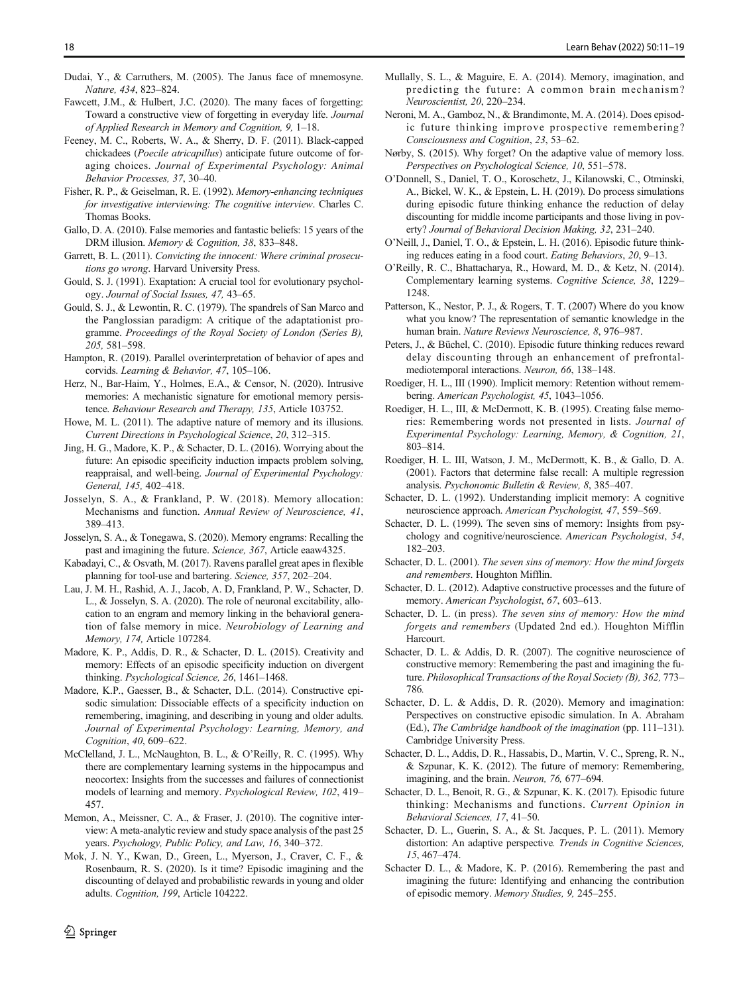- <span id="page-7-0"></span>Fawcett, J.M., & Hulbert, J.C. (2020). The many faces of forgetting: Toward a constructive view of forgetting in everyday life. Journal of Applied Research in Memory and Cognition, 9, 1–18.
- Feeney, M. C., Roberts, W. A., & Sherry, D. F. (2011). Black-capped chickadees (Poecile atricapillus) anticipate future outcome of foraging choices. Journal of Experimental Psychology: Animal Behavior Processes, 37, 30–40.
- Fisher, R. P., & Geiselman, R. E. (1992). Memory-enhancing techniques for investigative interviewing: The cognitive interview. Charles C. Thomas Books.
- Gallo, D. A. (2010). False memories and fantastic beliefs: 15 years of the DRM illusion. Memory & Cognition, 38, 833–848.
- Garrett, B. L. (2011). Convicting the innocent: Where criminal prosecutions go wrong. Harvard University Press.
- Gould, S. J. (1991). Exaptation: A crucial tool for evolutionary psychology. Journal of Social Issues, 47, 43–65.
- Gould, S. J., & Lewontin, R. C. (1979). The spandrels of San Marco and the Panglossian paradigm: A critique of the adaptationist programme. Proceedings of the Royal Society of London (Series B), 205, 581–598.
- Hampton, R. (2019). Parallel overinterpretation of behavior of apes and corvids. Learning & Behavior, 47, 105–106.
- Herz, N., Bar-Haim, Y., Holmes, E.A., & Censor, N. (2020). Intrusive memories: A mechanistic signature for emotional memory persistence. Behaviour Research and Therapy, 135, Article 103752.
- Howe, M. L. (2011). The adaptive nature of memory and its illusions. Current Directions in Psychological Science, 20, 312–315.
- Jing, H. G., Madore, K. P., & Schacter, D. L. (2016). Worrying about the future: An episodic specificity induction impacts problem solving, reappraisal, and well-being. Journal of Experimental Psychology: General, 145, 402–418.
- Josselyn, S. A., & Frankland, P. W. (2018). Memory allocation: Mechanisms and function. Annual Review of Neuroscience, 41, 389–413.
- Josselyn, S. A., & Tonegawa, S. (2020). Memory engrams: Recalling the past and imagining the future. Science, 367, Article eaaw4325.
- Kabadayi, C., & Osvath, M. (2017). Ravens parallel great apes in flexible planning for tool-use and bartering. Science, 357, 202–204.
- Lau, J. M. H., Rashid, A. J., Jacob, A. D, Frankland, P. W., Schacter, D. L., & Josselyn, S. A. (2020). The role of neuronal excitability, allocation to an engram and memory linking in the behavioral generation of false memory in mice. Neurobiology of Learning and Memory, 174, Article 107284.
- Madore, K. P., Addis, D. R., & Schacter, D. L. (2015). Creativity and memory: Effects of an episodic specificity induction on divergent thinking. Psychological Science, 26, 1461–1468.
- Madore, K.P., Gaesser, B., & Schacter, D.L. (2014). Constructive episodic simulation: Dissociable effects of a specificity induction on remembering, imagining, and describing in young and older adults. Journal of Experimental Psychology: Learning, Memory, and Cognition, 40, 609–622.
- McClelland, J. L., McNaughton, B. L., & O'Reilly, R. C. (1995). Why there are complementary learning systems in the hippocampus and neocortex: Insights from the successes and failures of connectionist models of learning and memory. Psychological Review, 102, 419– 457.
- Memon, A., Meissner, C. A., & Fraser, J. (2010). The cognitive interview: A meta-analytic review and study space analysis of the past 25 years. Psychology, Public Policy, and Law, 16, 340–372.
- Mok, J. N. Y., Kwan, D., Green, L., Myerson, J., Craver, C. F., & Rosenbaum, R. S. (2020). Is it time? Episodic imagining and the discounting of delayed and probabilistic rewards in young and older adults. Cognition, 199, Article 104222.
- Mullally, S. L., & Maguire, E. A. (2014). Memory, imagination, and predicting the future: A common brain mechanism? Neuroscientist, 20, 220–234.
- Neroni, M. A., Gamboz, N., & Brandimonte, M. A. (2014). Does episodic future thinking improve prospective remembering? Consciousness and Cognition, 23, 53–62.
- Nørby, S. (2015). Why forget? On the adaptive value of memory loss. Perspectives on Psychological Science, 10, 551–578.
- O'Donnell, S., Daniel, T. O., Koroschetz, J., Kilanowski, C., Otminski, A., Bickel, W. K., & Epstein, L. H. (2019). Do process simulations during episodic future thinking enhance the reduction of delay discounting for middle income participants and those living in poverty? Journal of Behavioral Decision Making, 32, 231–240.
- O'Neill, J., Daniel, T. O., & Epstein, L. H. (2016). Episodic future thinking reduces eating in a food court. Eating Behaviors, 20, 9–13.
- O'Reilly, R. C., Bhattacharya, R., Howard, M. D., & Ketz, N. (2014). Complementary learning systems. Cognitive Science, 38, 1229– 1248.
- Patterson, K., Nestor, P. J., & Rogers, T. T. (2007) Where do you know what you know? The representation of semantic knowledge in the human brain. Nature Reviews Neuroscience, 8, 976–987.
- Peters, J., & Büchel, C. (2010). Episodic future thinking reduces reward delay discounting through an enhancement of prefrontalmediotemporal interactions. Neuron, 66, 138–148.
- Roediger, H. L., III (1990). Implicit memory: Retention without remembering. American Psychologist, 45, 1043–1056.
- Roediger, H. L., III, & McDermott, K. B. (1995). Creating false memories: Remembering words not presented in lists. Journal of Experimental Psychology: Learning, Memory, & Cognition, 21, 803–814.
- Roediger, H. L. III, Watson, J. M., McDermott, K. B., & Gallo, D. A. (2001). Factors that determine false recall: A multiple regression analysis. Psychonomic Bulletin & Review, 8, 385–407.
- Schacter, D. L. (1992). Understanding implicit memory: A cognitive neuroscience approach. American Psychologist, 47, 559–569.
- Schacter, D. L. (1999). The seven sins of memory: Insights from psychology and cognitive/neuroscience. American Psychologist, 54, 182–203.
- Schacter, D. L. (2001). The seven sins of memory: How the mind forgets and remembers. Houghton Mifflin.
- Schacter, D. L. (2012). Adaptive constructive processes and the future of memory. American Psychologist, 67, 603–613.
- Schacter, D. L. (in press). The seven sins of memory: How the mind forgets and remembers (Updated 2nd ed.). Houghton Mifflin Harcourt.
- Schacter, D. L. & Addis, D. R. (2007). The cognitive neuroscience of constructive memory: Remembering the past and imagining the future. Philosophical Transactions of the Royal Society (B), 362, 773– 786.
- Schacter, D. L. & Addis, D. R. (2020). Memory and imagination: Perspectives on constructive episodic simulation. In A. Abraham (Ed.), The Cambridge handbook of the imagination (pp. 111–131). Cambridge University Press.
- Schacter, D. L., Addis, D. R., Hassabis, D., Martin, V. C., Spreng, R. N., & Szpunar, K. K. (2012). The future of memory: Remembering, imagining, and the brain. Neuron, 76, 677–694.
- Schacter, D. L., Benoit, R. G., & Szpunar, K. K. (2017). Episodic future thinking: Mechanisms and functions. Current Opinion in Behavioral Sciences, 17, 41–50.
- Schacter, D. L., Guerin, S. A., & St. Jacques, P. L. (2011). Memory distortion: An adaptive perspective. Trends in Cognitive Sciences, 15, 467–474.
- Schacter D. L., & Madore, K. P. (2016). Remembering the past and imagining the future: Identifying and enhancing the contribution of episodic memory. Memory Studies, 9, 245–255.